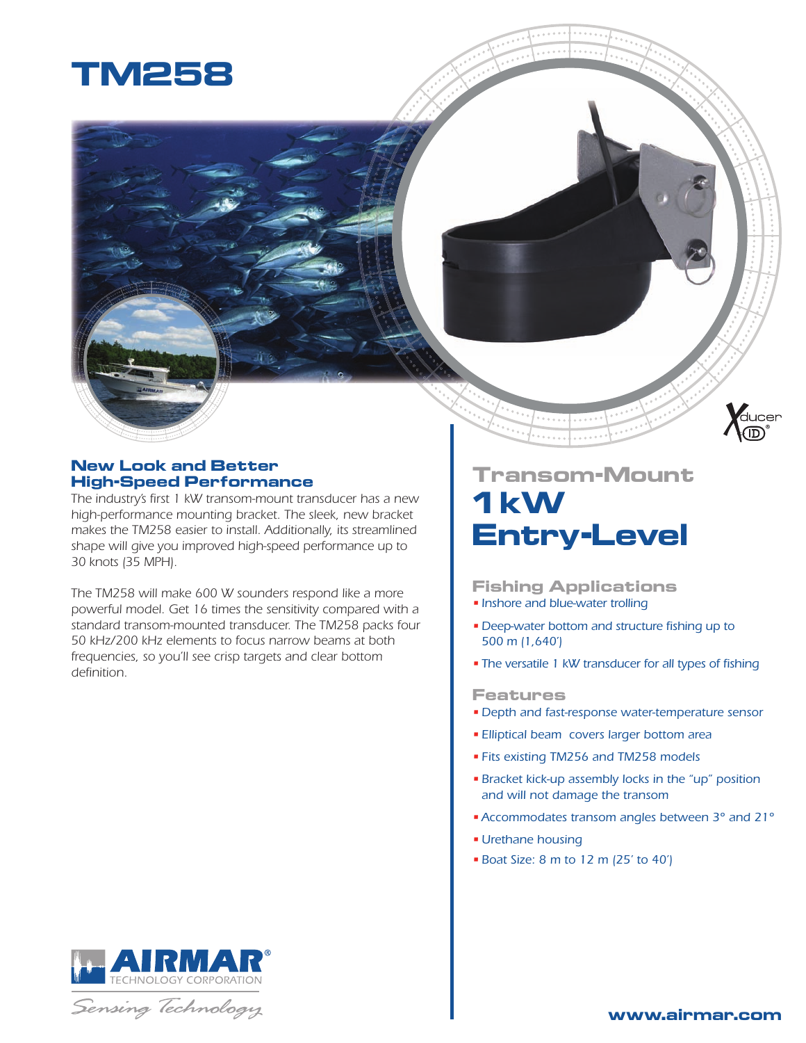

#### **New Look and Better High-Speed Performance**

The industry's first 1 kW transom-mount transducer has a new *high-performance mounting bracket. The sleek, new bracket makes the TM258 easier to install. Additionally, its streamlined shape will give you improved high-speed performance up to 30 knots (35 MPH).* 

*The TM258 will make 600 W sounders respond like a more powerful model. Get 16 times the sensitivity compared with a standard transom-mounted transducer. The TM258 packs four 50 kHz/200 kHz elements to focus narrow beams at both frequencies, so you'll see crisp targets and clear bottom defi nition.*

# **Transom-Mount 1 kW Entry-Level**

**Fishing Applications** *• Inshore and blue-water trolling*

- Deep-water bottom and structure fishing up to  *500 m (1,640')*
- The versatile 1 kW transducer for all types of fishing

#### **Features**

- *Depth and fast-response water-temperature sensor*
- *Elliptical beam covers larger bottom area*
- *Fits existing TM256 and TM258 models*
- *Bracket kick-up assembly locks in the "up" position and will not damage the transom*
- *Accommodates transom angles between 3° and 21°*
- *Urethane housing*
- *Boat Size: 8 m to 12 m (25' to 40')*







**Aducer**